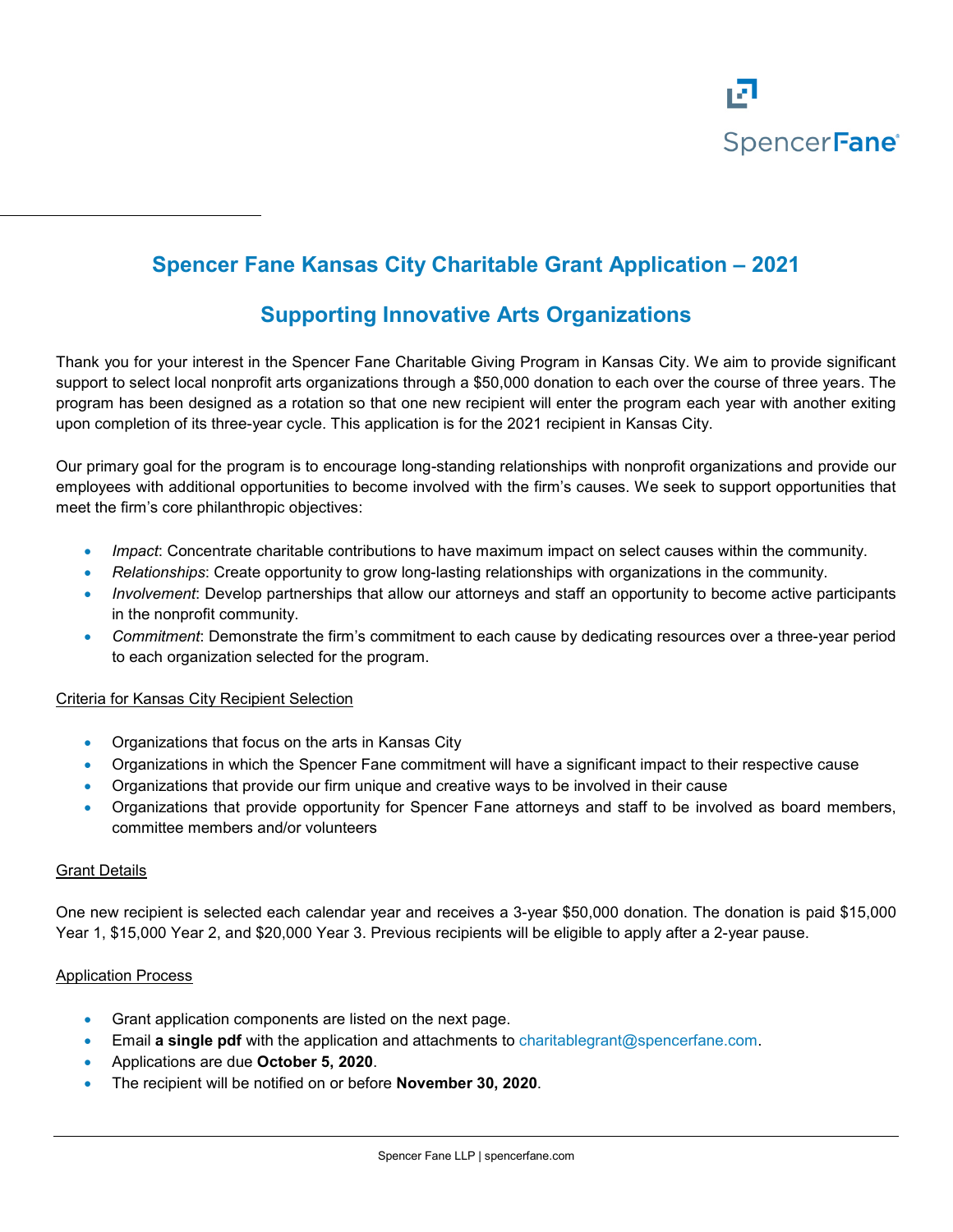

# **Spencer Fane Kansas City Charitable Grant Application – 2021**

## **Supporting Innovative Arts Organizations**

Thank you for your interest in the Spencer Fane Charitable Giving Program in Kansas City. We aim to provide significant support to select local nonprofit arts organizations through a \$50,000 donation to each over the course of three years. The program has been designed as a rotation so that one new recipient will enter the program each year with another exiting upon completion of its three-year cycle. This application is for the 2021 recipient in Kansas City.

Our primary goal for the program is to encourage long-standing relationships with nonprofit organizations and provide our employees with additional opportunities to become involved with the firm's causes. We seek to support opportunities that meet the firm's core philanthropic objectives:

- *Impact*: Concentrate charitable contributions to have maximum impact on select causes within the community.
- *Relationships*: Create opportunity to grow long-lasting relationships with organizations in the community.
- *Involvement*: Develop partnerships that allow our attorneys and staff an opportunity to become active participants in the nonprofit community.
- *Commitment*: Demonstrate the firm's commitment to each cause by dedicating resources over a three-year period to each organization selected for the program.

#### Criteria for Kansas City Recipient Selection

- Organizations that focus on the arts in Kansas City
- Organizations in which the Spencer Fane commitment will have a significant impact to their respective cause
- Organizations that provide our firm unique and creative ways to be involved in their cause
- Organizations that provide opportunity for Spencer Fane attorneys and staff to be involved as board members, committee members and/or volunteers

#### Grant Details

One new recipient is selected each calendar year and receives a 3-year \$50,000 donation. The donation is paid \$15,000 Year 1, \$15,000 Year 2, and \$20,000 Year 3. Previous recipients will be eligible to apply after a 2-year pause.

#### Application Process

- Grant application components are listed on the next page.
- Email **a single pdf** with the application and attachments to [charitablegrant@spencerfane.com.](mailto:charitablegrant@spencerfane.com)
- Applications are due **October 5, 2020**.
- The recipient will be notified on or before **November 30, 2020**.